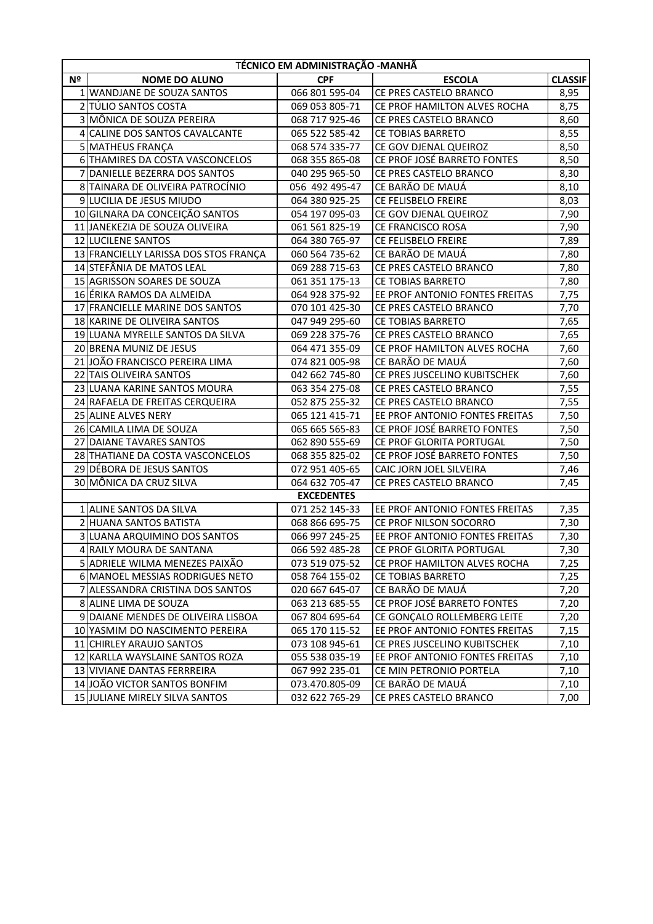|    | TÉCNICO EM ADMINISTRAÇÃO -MANHÃ       |                   |                                |                |
|----|---------------------------------------|-------------------|--------------------------------|----------------|
| Nº | <b>NOME DO ALUNO</b>                  | <b>CPF</b>        | <b>ESCOLA</b>                  | <b>CLASSIF</b> |
|    | 1 WANDJANE DE SOUZA SANTOS            | 066 801 595-04    | CE PRES CASTELO BRANCO         | 8,95           |
|    | 2 TÚLIO SANTOS COSTA                  | 069 053 805-71    | CE PROF HAMILTON ALVES ROCHA   | 8,75           |
|    | 3 MÔNICA DE SOUZA PEREIRA             | 068 717 925-46    | CE PRES CASTELO BRANCO         | 8,60           |
| 4  | CALINE DOS SANTOS CAVALCANTE          | 065 522 585-42    | CE TOBIAS BARRETO              | 8,55           |
|    | 5 MATHEUS FRANÇA                      | 068 574 335-77    | CE GOV DJENAL QUEIROZ          | 8,50           |
|    | 6 THAMIRES DA COSTA VASCONCELOS       | 068 355 865-08    | CE PROF JOSÉ BARRETO FONTES    | 8,50           |
|    | DANIELLE BEZERRA DOS SANTOS           | 040 295 965-50    | CE PRES CASTELO BRANCO         | 8,30           |
|    | 8 TAINARA DE OLIVEIRA PATROCÍNIO      | 056 492 495-47    | CE BARÃO DE MAUÁ               | 8,10           |
|    | 9 LUCILIA DE JESUS MIUDO              | 064 380 925-25    | CE FELISBELO FREIRE            | 8,03           |
|    | 10 GILNARA DA CONCEIÇÃO SANTOS        | 054 197 095-03    | CE GOV DJENAL QUEIROZ          | 7,90           |
|    | 11 JANEKEZIA DE SOUZA OLIVEIRA        | 061 561 825-19    | CE FRANCISCO ROSA              | 7,90           |
|    | 12 LUCILENE SANTOS                    | 064 380 765-97    | CE FELISBELO FREIRE            | 7,89           |
|    | 13 FRANCIELLY LARISSA DOS STOS FRANÇA | 060 564 735-62    | CE BARÃO DE MAUÁ               | 7,80           |
|    | 14 STEFÂNIA DE MATOS LEAL             | 069 288 715-63    | CE PRES CASTELO BRANCO         | 7,80           |
|    | 15 AGRISSON SOARES DE SOUZA           | 061 351 175-13    | CE TOBIAS BARRETO              | 7,80           |
|    | 16 ÉRIKA RAMOS DA ALMEIDA             | 064 928 375-92    | EE PROF ANTONIO FONTES FREITAS | 7,75           |
| 17 | <b>FRANCIELLE MARINE DOS SANTOS</b>   | 070 101 425-30    | CE PRES CASTELO BRANCO         | 7,70           |
|    | 18 KARINE DE OLIVEIRA SANTOS          | 047 949 295-60    | CE TOBIAS BARRETO              | 7,65           |
|    | 19 LUANA MYRELLE SANTOS DA SILVA      | 069 228 375-76    | CE PRES CASTELO BRANCO         | 7,65           |
|    | 20 BRENA MUNIZ DE JESUS               | 064 471 355-09    | CE PROF HAMILTON ALVES ROCHA   | 7,60           |
| 21 | JOÃO FRANCISCO PEREIRA LIMA           | 074 821 005-98    | CE BARÃO DE MAUÁ               | 7,60           |
| 22 | <b>TAIS OLIVEIRA SANTOS</b>           | 042 662 745-80    | CE PRES JUSCELINO KUBITSCHEK   | 7,60           |
|    | 23 LUANA KARINE SANTOS MOURA          | 063 354 275-08    | CE PRES CASTELO BRANCO         | 7,55           |
|    | 24 RAFAELA DE FREITAS CERQUEIRA       | 052 875 255-32    | CE PRES CASTELO BRANCO         | 7,55           |
|    | 25 ALINE ALVES NERY                   | 065 121 415-71    | EE PROF ANTONIO FONTES FREITAS | 7,50           |
|    | 26 CAMILA LIMA DE SOUZA               | 065 665 565-83    | CE PROF JOSÉ BARRETO FONTES    | 7,50           |
| 27 | DAIANE TAVARES SANTOS                 | 062 890 555-69    | CE PROF GLORITA PORTUGAL       | 7,50           |
|    | 28 THATIANE DA COSTA VASCONCELOS      | 068 355 825-02    | CE PROF JOSÉ BARRETO FONTES    | 7,50           |
|    | 29 DÉBORA DE JESUS SANTOS             | 072 951 405-65    | CAIC JORN JOEL SILVEIRA        | 7,46           |
|    | 30 MÔNICA DA CRUZ SILVA               | 064 632 705-47    | CE PRES CASTELO BRANCO         | 7,45           |
|    |                                       | <b>EXCEDENTES</b> |                                |                |
|    | 1 ALINE SANTOS DA SILVA               | 071 252 145-33    | EE PROF ANTONIO FONTES FREITAS | 7,35           |
|    | 2 HUANA SANTOS BATISTA                | 068 866 695-75    | CE PROF NILSON SOCORRO         | 7,30           |
|    | 3 LUANA ARQUIMINO DOS SANTOS          | 066 997 245-25    | EE PROF ANTONIO FONTES FREITAS | 7,30           |
|    | 4 RAILY MOURA DE SANTANA              | 066 592 485-28    | CE PROF GLORITA PORTUGAL       | 7,30           |
|    | 5 ADRIELE WILMA MENEZES PAIXAO        | 073 519 075-52    | CE PROF HAMILTON ALVES ROCHA   | 7,25           |
|    | 6 MANOEL MESSIAS RODRIGUES NETO       | 058 764 155-02    | CE TOBIAS BARRETO              | 7,25           |
|    | 7 ALESSANDRA CRISTINA DOS SANTOS      | 020 667 645-07    | CE BARÃO DE MAUÁ               | 7,20           |
|    | 8 ALINE LIMA DE SOUZA                 | 063 213 685-55    | CE PROF JOSÉ BARRETO FONTES    | 7,20           |
|    | 9 DAIANE MENDES DE OLIVEIRA LISBOA    | 067 804 695-64    | CE GONÇALO ROLLEMBERG LEITE    | 7,20           |
|    | 10 YASMIM DO NASCIMENTO PEREIRA       | 065 170 115-52    | EE PROF ANTONIO FONTES FREITAS | 7,15           |
|    | 11 CHIRLEY ARAUJO SANTOS              | 073 108 945-61    | CE PRES JUSCELINO KUBITSCHEK   | 7,10           |
|    | 12 KARLLA WAYSLAINE SANTOS ROZA       | 055 538 035-19    | EE PROF ANTONIO FONTES FREITAS | 7,10           |
|    | 13 VIVIANE DANTAS FERRREIRA           | 067 992 235-01    | CE MIN PETRONIO PORTELA        | 7,10           |
|    | 14 JOÃO VICTOR SANTOS BONFIM          | 073.470.805-09    | CE BARÃO DE MAUÁ               | 7,10           |
|    | 15 JULIANE MIRELY SILVA SANTOS        | 032 622 765-29    | CE PRES CASTELO BRANCO         | 7,00           |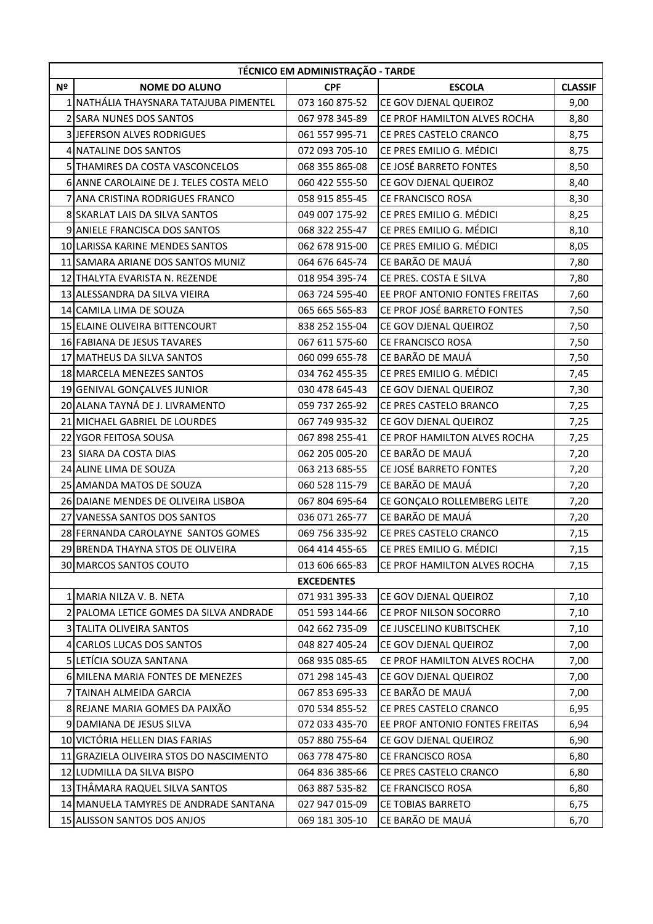|    | TÉCNICO EM ADMINISTRAÇÃO - TARDE        |                   |                                |                |  |
|----|-----------------------------------------|-------------------|--------------------------------|----------------|--|
| Nº | <b>NOME DO ALUNO</b>                    | <b>CPF</b>        | <b>ESCOLA</b>                  | <b>CLASSIF</b> |  |
|    | 1 NATHÁLIA THAYSNARA TATAJUBA PIMENTEL  | 073 160 875-52    | CE GOV DJENAL QUEIROZ          | 9,00           |  |
|    | 2 SARA NUNES DOS SANTOS                 | 067 978 345-89    | CE PROF HAMILTON ALVES ROCHA   | 8,80           |  |
|    | 3 JEFERSON ALVES RODRIGUES              | 061 557 995-71    | CE PRES CASTELO CRANCO         | 8,75           |  |
|    | 4 NATALINE DOS SANTOS                   | 072 093 705-10    | CE PRES EMILIO G. MÉDICI       | 8,75           |  |
|    | 5 THAMIRES DA COSTA VASCONCELOS         | 068 355 865-08    | CE JOSÉ BARRETO FONTES         | 8,50           |  |
|    | 6 ANNE CAROLAINE DE J. TELES COSTA MELO | 060 422 555-50    | CE GOV DJENAL QUEIROZ          | 8,40           |  |
|    | 7 ANA CRISTINA RODRIGUES FRANCO         | 058 915 855-45    | CE FRANCISCO ROSA              | 8,30           |  |
|    | 8 SKARLAT LAIS DA SILVA SANTOS          | 049 007 175-92    | CE PRES EMILIO G. MÉDICI       | 8,25           |  |
|    | 9 ANIELE FRANCISCA DOS SANTOS           | 068 322 255-47    | CE PRES EMILIO G. MÉDICI       | 8,10           |  |
|    | 10 LARISSA KARINE MENDES SANTOS         | 062 678 915-00    | CE PRES EMILIO G. MÉDICI       | 8,05           |  |
|    | 11 SAMARA ARIANE DOS SANTOS MUNIZ       | 064 676 645-74    | CE BARÃO DE MAUÁ               | 7,80           |  |
|    | 12 THALYTA EVARISTA N. REZENDE          | 018 954 395-74    | CE PRES. COSTA E SILVA         | 7,80           |  |
|    | 13 ALESSANDRA DA SILVA VIEIRA           | 063 724 595-40    | EE PROF ANTONIO FONTES FREITAS | 7,60           |  |
|    | 14 CAMILA LIMA DE SOUZA                 | 065 665 565-83    | CE PROF JOSÉ BARRETO FONTES    | 7,50           |  |
|    | 15 ELAINE OLIVEIRA BITTENCOURT          | 838 252 155-04    | CE GOV DJENAL QUEIROZ          | 7,50           |  |
|    | 16 FABIANA DE JESUS TAVARES             | 067 611 575-60    | <b>CE FRANCISCO ROSA</b>       | 7,50           |  |
|    | 17 MATHEUS DA SILVA SANTOS              | 060 099 655-78    | CE BARÃO DE MAUÁ               | 7,50           |  |
|    | 18 MARCELA MENEZES SANTOS               | 034 762 455-35    | CE PRES EMILIO G. MÉDICI       | 7,45           |  |
|    | 19 GENIVAL GONÇALVES JUNIOR             | 030 478 645-43    | CE GOV DJENAL QUEIROZ          | 7,30           |  |
|    | 20 ALANA TAYNÁ DE J. LIVRAMENTO         | 059 737 265-92    | CE PRES CASTELO BRANCO         | 7,25           |  |
|    | 21 MICHAEL GABRIEL DE LOURDES           | 067 749 935-32    | CE GOV DJENAL QUEIROZ          | 7,25           |  |
|    | 22 YGOR FEITOSA SOUSA                   | 067 898 255-41    | CE PROF HAMILTON ALVES ROCHA   | 7,25           |  |
|    | 23 SIARA DA COSTA DIAS                  | 062 205 005-20    | CE BARÃO DE MAUÁ               | 7,20           |  |
|    | 24 ALINE LIMA DE SOUZA                  | 063 213 685-55    | CE JOSÉ BARRETO FONTES         | 7,20           |  |
|    | 25 AMANDA MATOS DE SOUZA                | 060 528 115-79    | CE BARÃO DE MAUÁ               | 7,20           |  |
|    | 26 DAIANE MENDES DE OLIVEIRA LISBOA     | 067 804 695-64    | CE GONÇALO ROLLEMBERG LEITE    | 7,20           |  |
|    | 27 VANESSA SANTOS DOS SANTOS            | 036 071 265-77    | CE BARÃO DE MAUÁ               | 7,20           |  |
|    | 28 FERNANDA CAROLAYNE SANTOS GOMES      | 069 756 335-92    | CE PRES CASTELO CRANCO         | 7,15           |  |
|    | 29 BRENDA THAYNA STOS DE OLIVEIRA       | 064 414 455-65    | CE PRES EMILIO G. MÉDICI       | 7,15           |  |
|    | 30 MARCOS SANTOS COUTO                  | 013 606 665-83    | CE PROF HAMILTON ALVES ROCHA   | 7,15           |  |
|    |                                         | <b>EXCEDENTES</b> |                                |                |  |
|    | 1 MARIA NILZA V. B. NETA                | 071 931 395-33    | CE GOV DJENAL QUEIROZ          | 7,10           |  |
|    | 2 PALOMA LETICE GOMES DA SILVA ANDRADE  | 051 593 144-66    | CE PROF NILSON SOCORRO         | 7,10           |  |
|    | 3 TALITA OLIVEIRA SANTOS                | 042 662 735-09    | CE JUSCELINO KUBITSCHEK        | 7,10           |  |
|    | 4 CARLOS LUCAS DOS SANTOS               | 048 827 405-24    | CE GOV DJENAL QUEIROZ          | 7,00           |  |
|    | 5 LETÍCIA SOUZA SANTANA                 | 068 935 085-65    | CE PROF HAMILTON ALVES ROCHA   | 7,00           |  |
|    | 6 MILENA MARIA FONTES DE MENEZES        | 071 298 145-43    | CE GOV DJENAL QUEIROZ          | 7,00           |  |
|    | 7 TAINAH ALMEIDA GARCIA                 | 067 853 695-33    | CE BARÃO DE MAUÁ               | 7,00           |  |
|    | 8 REJANE MARIA GOMES DA PAIXÃO          | 070 534 855-52    | CE PRES CASTELO CRANCO         | 6,95           |  |
|    | 9 DAMIANA DE JESUS SILVA                | 072 033 435-70    | EE PROF ANTONIO FONTES FREITAS | 6,94           |  |
|    | 10 VICTÓRIA HELLEN DIAS FARIAS          | 057 880 755-64    | CE GOV DJENAL QUEIROZ          | 6,90           |  |
|    | 11 GRAZIELA OLIVEIRA STOS DO NASCIMENTO | 063 778 475-80    | CE FRANCISCO ROSA              | 6,80           |  |
|    | 12 LUDMILLA DA SILVA BISPO              | 064 836 385-66    | CE PRES CASTELO CRANCO         | 6,80           |  |
|    | 13 THÂMARA RAQUEL SILVA SANTOS          | 063 887 535-82    | <b>CE FRANCISCO ROSA</b>       | 6,80           |  |
|    | 14 MANUELA TAMYRES DE ANDRADE SANTANA   | 027 947 015-09    | CE TOBIAS BARRETO              | 6,75           |  |
|    | 15 ALISSON SANTOS DOS ANJOS             | 069 181 305-10    | CE BARÃO DE MAUÁ               | 6,70           |  |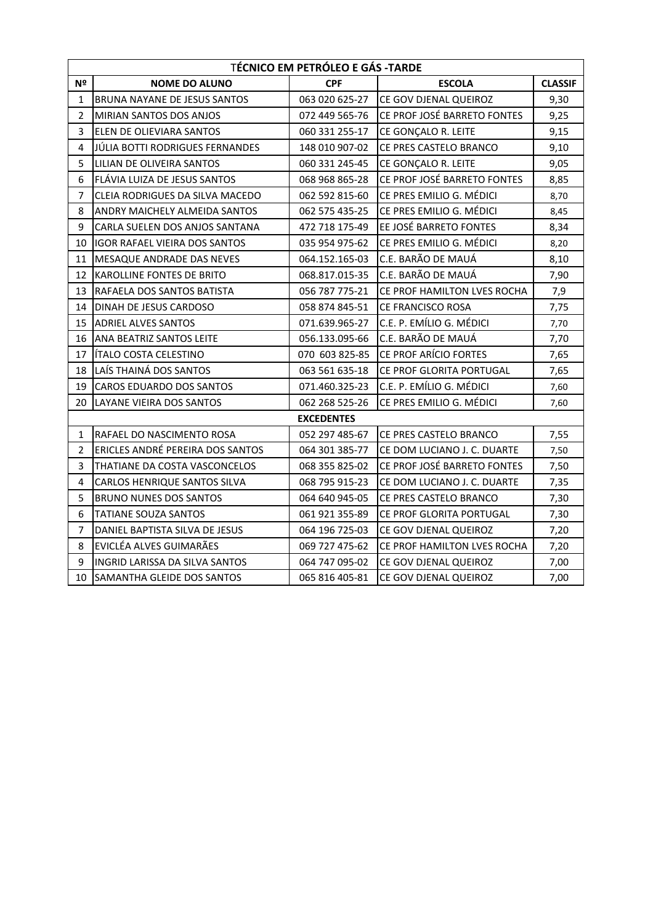|                | <b>TÉCNICO EM PETRÓLEO E GÁS -TARDE</b> |                   |                             |                |  |
|----------------|-----------------------------------------|-------------------|-----------------------------|----------------|--|
| Nº             | <b>NOME DO ALUNO</b>                    | <b>CPF</b>        | <b>ESCOLA</b>               | <b>CLASSIF</b> |  |
| $\mathbf{1}$   | BRUNA NAYANE DE JESUS SANTOS            | 063 020 625-27    | CE GOV DJENAL QUEIROZ       | 9,30           |  |
| 2              | MIRIAN SANTOS DOS ANJOS                 | 072 449 565-76    | CE PROF JOSÉ BARRETO FONTES | 9,25           |  |
| 3              | ELEN DE OLIEVIARA SANTOS                | 060 331 255-17    | CE GONÇALO R. LEITE         | 9,15           |  |
| 4              | JÚLIA BOTTI RODRIGUES FERNANDES         | 148 010 907-02    | CE PRES CASTELO BRANCO      | 9,10           |  |
| 5              | LILIAN DE OLIVEIRA SANTOS               | 060 331 245-45    | CE GONÇALO R. LEITE         | 9,05           |  |
| 6              | FLÁVIA LUIZA DE JESUS SANTOS            | 068 968 865-28    | CE PROF JOSÉ BARRETO FONTES | 8,85           |  |
| 7              | CLEIA RODRIGUES DA SILVA MACEDO         | 062 592 815-60    | CE PRES EMILIO G. MÉDICI    | 8,70           |  |
| 8              | ANDRY MAICHELY ALMEIDA SANTOS           | 062 575 435-25    | CE PRES EMILIO G. MÉDICI    | 8,45           |  |
| 9              | CARLA SUELEN DOS ANJOS SANTANA          | 472 718 175-49    | EE JOSÉ BARRETO FONTES      | 8,34           |  |
| 10             | <b>IGOR RAFAEL VIEIRA DOS SANTOS</b>    | 035 954 975-62    | CE PRES EMILIO G. MÉDICI    | 8,20           |  |
| 11             | MESAQUE ANDRADE DAS NEVES               | 064.152.165-03    | C.E. BARÃO DE MAUÁ          | 8,10           |  |
| 12             | KAROLLINE FONTES DE BRITO               | 068.817.015-35    | C.E. BARÃO DE MAUÁ          | 7,90           |  |
| 13             | RAFAELA DOS SANTOS BATISTA              | 056 787 775-21    | CE PROF HAMILTON LVES ROCHA | 7,9            |  |
| 14             | DINAH DE JESUS CARDOSO                  | 058 874 845-51    | CE FRANCISCO ROSA           | 7,75           |  |
| 15             | <b>ADRIEL ALVES SANTOS</b>              | 071.639.965-27    | C.E. P. EMÍLIO G. MÉDICI    | 7,70           |  |
| 16             | ANA BEATRIZ SANTOS LEITE                | 056.133.095-66    | C.E. BARÃO DE MAUÁ          | 7,70           |  |
| 17             | <b>ÍTALO COSTA CELESTINO</b>            | 070 603 825-85    | CE PROF ARÍCIO FORTES       | 7,65           |  |
| 18             | LAÍS THAINÁ DOS SANTOS                  | 063 561 635-18    | CE PROF GLORITA PORTUGAL    | 7,65           |  |
| 19             | <b>CAROS EDUARDO DOS SANTOS</b>         | 071.460.325-23    | C.E. P. EMÍLIO G. MÉDICI    | 7,60           |  |
| 20             | LAYANE VIEIRA DOS SANTOS                | 062 268 525-26    | CE PRES EMILIO G. MÉDICI    | 7,60           |  |
|                |                                         | <b>EXCEDENTES</b> |                             |                |  |
| 1              | RAFAEL DO NASCIMENTO ROSA               | 052 297 485-67    | CE PRES CASTELO BRANCO      | 7,55           |  |
| $\overline{2}$ | ERICLES ANDRÉ PEREIRA DOS SANTOS        | 064 301 385-77    | CE DOM LUCIANO J. C. DUARTE | 7,50           |  |
| 3              | THATIANE DA COSTA VASCONCELOS           | 068 355 825-02    | CE PROF JOSÉ BARRETO FONTES | 7,50           |  |
| 4              | CARLOS HENRIQUE SANTOS SILVA            | 068 795 915-23    | CE DOM LUCIANO J. C. DUARTE | 7,35           |  |
| 5              | <b>BRUNO NUNES DOS SANTOS</b>           | 064 640 945-05    | CE PRES CASTELO BRANCO      | 7,30           |  |
| 6              | <b>TATIANE SOUZA SANTOS</b>             | 061 921 355-89    | CE PROF GLORITA PORTUGAL    | 7,30           |  |
| $\overline{7}$ | DANIEL BAPTISTA SILVA DE JESUS          | 064 196 725-03    | CE GOV DJENAL QUEIROZ       | 7,20           |  |
| 8              | EVICLÉA ALVES GUIMARÃES                 | 069 727 475-62    | CE PROF HAMILTON LVES ROCHA | 7,20           |  |
| 9              | INGRID LARISSA DA SILVA SANTOS          | 064 747 095-02    | CE GOV DJENAL QUEIROZ       | 7,00           |  |
| 10             | SAMANTHA GLEIDE DOS SANTOS              | 065 816 405-81    | CE GOV DJENAL QUEIROZ       | 7,00           |  |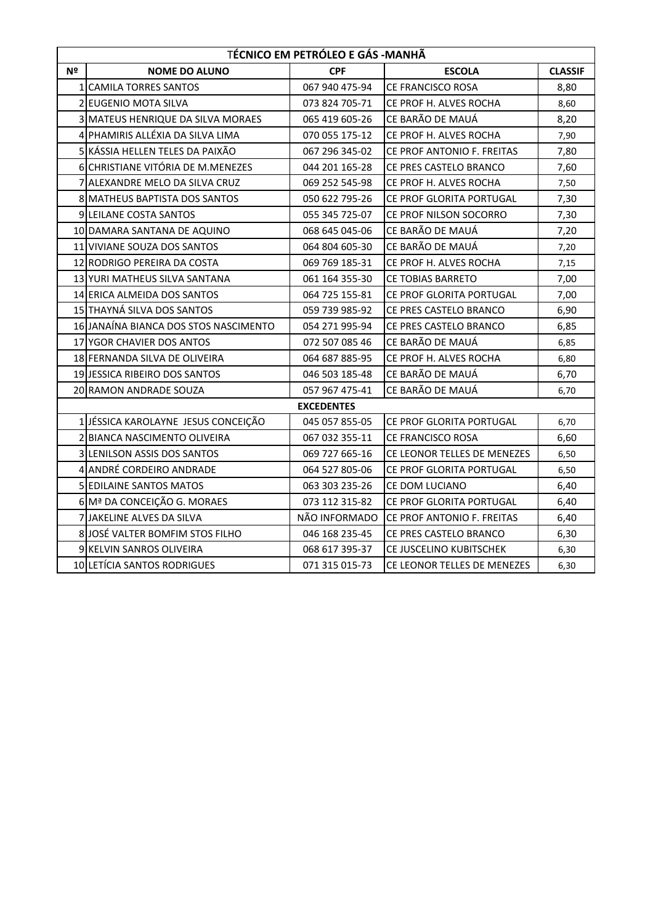|    | TÉCNICO EM PETRÓLEO E GÁS - MANHÃ     |                   |                                 |                |  |
|----|---------------------------------------|-------------------|---------------------------------|----------------|--|
| Nº | <b>NOME DO ALUNO</b>                  | <b>CPF</b>        | <b>ESCOLA</b>                   | <b>CLASSIF</b> |  |
|    | 1 CAMILA TORRES SANTOS                | 067 940 475-94    | CE FRANCISCO ROSA               | 8,80           |  |
|    | 2 EUGENIO MOTA SILVA                  | 073 824 705-71    | CE PROF H. ALVES ROCHA          | 8,60           |  |
|    | 3 MATEUS HENRIQUE DA SILVA MORAES     | 065 419 605-26    | CE BARÃO DE MAUÁ                | 8,20           |  |
|    | 4 PHAMIRIS ALLÉXIA DA SILVA LIMA      | 070 055 175-12    | CE PROF H. ALVES ROCHA          | 7,90           |  |
|    | 5 KÁSSIA HELLEN TELES DA PAIXÃO       | 067 296 345-02    | CE PROF ANTONIO F. FREITAS      | 7,80           |  |
|    | 6 CHRISTIANE VITÓRIA DE M.MENEZES     | 044 201 165-28    | CE PRES CASTELO BRANCO          | 7,60           |  |
|    | 7 ALEXANDRE MELO DA SILVA CRUZ        | 069 252 545-98    | CE PROF H. ALVES ROCHA          | 7,50           |  |
|    | 8 MATHEUS BAPTISTA DOS SANTOS         | 050 622 795-26    | <b>CE PROF GLORITA PORTUGAL</b> | 7,30           |  |
|    | 9 LEILANE COSTA SANTOS                | 055 345 725-07    | CE PROF NILSON SOCORRO          | 7,30           |  |
|    | 10 DAMARA SANTANA DE AQUINO           | 068 645 045-06    | CE BARÃO DE MAUÁ                | 7,20           |  |
|    | 11 VIVIANE SOUZA DOS SANTOS           | 064 804 605-30    | CE BARÃO DE MAUÁ                | 7,20           |  |
|    | 12 RODRIGO PEREIRA DA COSTA           | 069 769 185-31    | CE PROF H. ALVES ROCHA          | 7,15           |  |
|    | 13 YURI MATHEUS SILVA SANTANA         | 061 164 355-30    | CE TOBIAS BARRETO               | 7,00           |  |
|    | 14 ERICA ALMEIDA DOS SANTOS           | 064 725 155-81    | <b>CE PROF GLORITA PORTUGAL</b> | 7,00           |  |
|    | 15 THAYNÁ SILVA DOS SANTOS            | 059 739 985-92    | CE PRES CASTELO BRANCO          | 6,90           |  |
|    | 16 JANAÍNA BIANCA DOS STOS NASCIMENTO | 054 271 995-94    | CE PRES CASTELO BRANCO          | 6,85           |  |
|    | 17 YGOR CHAVIER DOS ANTOS             | 072 507 085 46    | CE BARÃO DE MAUÁ                | 6,85           |  |
|    | 18 FERNANDA SILVA DE OLIVEIRA         | 064 687 885-95    | CE PROF H. ALVES ROCHA          | 6,80           |  |
|    | 19 JESSICA RIBEIRO DOS SANTOS         | 046 503 185-48    | CE BARÃO DE MAUÁ                | 6,70           |  |
|    | 20 RAMON ANDRADE SOUZA                | 057 967 475-41    | CE BARÃO DE MAUÁ                | 6,70           |  |
|    |                                       | <b>EXCEDENTES</b> |                                 |                |  |
|    | JÉSSICA KAROLAYNE JESUS CONCEIÇÃO     | 045 057 855-05    | <b>CE PROF GLORITA PORTUGAL</b> | 6,70           |  |
|    | 2 BIANCA NASCIMENTO OLIVEIRA          | 067 032 355-11    | CE FRANCISCO ROSA               | 6,60           |  |
|    | 3 LENILSON ASSIS DOS SANTOS           | 069 727 665-16    | CE LEONOR TELLES DE MENEZES     | 6,50           |  |
|    | 4 ANDRÉ CORDEIRO ANDRADE              | 064 527 805-06    | CE PROF GLORITA PORTUGAL        | 6,50           |  |
|    | 5 EDILAINE SANTOS MATOS               | 063 303 235-26    | CE DOM LUCIANO                  | 6,40           |  |
|    | 6 Mª DA CONCEIÇÃO G. MORAES           | 073 112 315-82    | CE PROF GLORITA PORTUGAL        | 6,40           |  |
|    | 7 JAKELINE ALVES DA SILVA             | NÃO INFORMADO     | CE PROF ANTONIO F. FREITAS      | 6,40           |  |
|    | 8 JOSÉ VALTER BOMFIM STOS FILHO       | 046 168 235-45    | CE PRES CASTELO BRANCO          | 6,30           |  |
|    | 9 KELVIN SANROS OLIVEIRA              | 068 617 395-37    | CE JUSCELINO KUBITSCHEK         | 6,30           |  |
|    | 10 LETÍCIA SANTOS RODRIGUES           | 071 315 015-73    | CE LEONOR TELLES DE MENEZES     | 6,30           |  |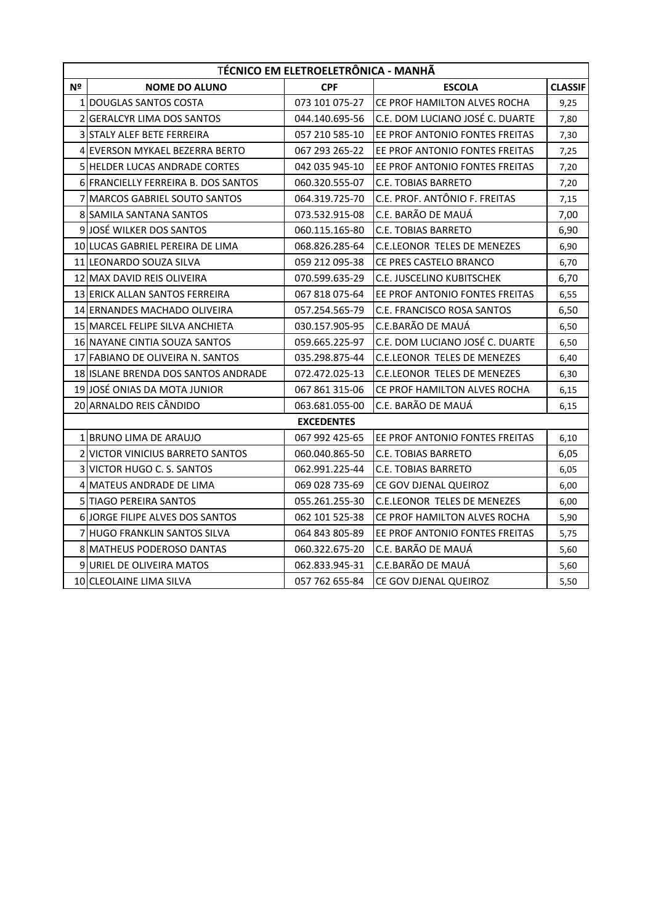|    | TÉCNICO EM ELETROELETRÔNICA - MANHÃ   |                   |                                    |                |  |
|----|---------------------------------------|-------------------|------------------------------------|----------------|--|
| Nº | <b>NOME DO ALUNO</b>                  | <b>CPF</b>        | <b>ESCOLA</b>                      | <b>CLASSIF</b> |  |
|    | 1 DOUGLAS SANTOS COSTA                | 073 101 075-27    | CE PROF HAMILTON ALVES ROCHA       | 9,25           |  |
| 2  | <b>GERALCYR LIMA DOS SANTOS</b>       | 044.140.695-56    | C.E. DOM LUCIANO JOSÉ C. DUARTE    | 7,80           |  |
|    | 3 STALY ALEF BETE FERREIRA            | 057 210 585-10    | EE PROF ANTONIO FONTES FREITAS     | 7,30           |  |
|    | 4 EVERSON MYKAEL BEZERRA BERTO        | 067 293 265-22    | EE PROF ANTONIO FONTES FREITAS     | 7,25           |  |
|    | 5 HELDER LUCAS ANDRADE CORTES         | 042 035 945-10    | EE PROF ANTONIO FONTES FREITAS     | 7,20           |  |
|    | 6 FRANCIELLY FERREIRA B. DOS SANTOS   | 060.320.555-07    | <b>C.E. TOBIAS BARRETO</b>         | 7,20           |  |
| 7  | <b>MARCOS GABRIEL SOUTO SANTOS</b>    | 064.319.725-70    | C.E. PROF. ANTÔNIO F. FREITAS      | 7,15           |  |
|    | 8 SAMILA SANTANA SANTOS               | 073.532.915-08    | C.E. BARÃO DE MAUÁ                 | 7,00           |  |
|    | 9 JOSÉ WILKER DOS SANTOS              | 060.115.165-80    | <b>C.E. TOBIAS BARRETO</b>         | 6,90           |  |
|    | 10 LUCAS GABRIEL PEREIRA DE LIMA      | 068.826.285-64    | <b>C.E.LEONOR TELES DE MENEZES</b> | 6,90           |  |
|    | 11 LEONARDO SOUZA SILVA               | 059 212 095-38    | CE PRES CASTELO BRANCO             | 6,70           |  |
|    | 12 MAX DAVID REIS OLIVEIRA            | 070.599.635-29    | C.E. JUSCELINO KUBITSCHEK          | 6,70           |  |
|    | 13 ERICK ALLAN SANTOS FERREIRA        | 067 818 075-64    | EE PROF ANTONIO FONTES FREITAS     | 6,55           |  |
|    | 14 ERNANDES MACHADO OLIVEIRA          | 057.254.565-79    | C.E. FRANCISCO ROSA SANTOS         | 6,50           |  |
|    | 15 MARCEL FELIPE SILVA ANCHIETA       | 030.157.905-95    | C.E.BARÃO DE MAUÁ                  | 6,50           |  |
|    | 16 NAYANE CINTIA SOUZA SANTOS         | 059.665.225-97    | C.E. DOM LUCIANO JOSÉ C. DUARTE    | 6,50           |  |
|    | 17 FABIANO DE OLIVEIRA N. SANTOS      | 035.298.875-44    | <b>C.E.LEONOR TELES DE MENEZES</b> | 6,40           |  |
|    | 18 ISLANE BRENDA DOS SANTOS ANDRADE   | 072.472.025-13    | <b>C.E.LEONOR TELES DE MENEZES</b> | 6,30           |  |
|    | 19 JOSÉ ONIAS DA MOTA JUNIOR          | 067 861 315-06    | CE PROF HAMILTON ALVES ROCHA       | 6,15           |  |
|    | 20 ARNALDO REIS CÂNDIDO               | 063.681.055-00    | C.E. BARÃO DE MAUÁ                 | 6,15           |  |
|    |                                       | <b>EXCEDENTES</b> |                                    |                |  |
|    | 1 BRUNO LIMA DE ARAUJO                | 067 992 425-65    | EE PROF ANTONIO FONTES FREITAS     | 6,10           |  |
| 2  | <b>VICTOR VINICIUS BARRETO SANTOS</b> | 060.040.865-50    | <b>C.E. TOBIAS BARRETO</b>         | 6,05           |  |
|    | 3 VICTOR HUGO C. S. SANTOS            | 062.991.225-44    | <b>C.E. TOBIAS BARRETO</b>         | 6,05           |  |
|    | 4 MATEUS ANDRADE DE LIMA              | 069 028 735-69    | CE GOV DJENAL QUEIROZ              | 6,00           |  |
|    | 5 TIAGO PEREIRA SANTOS                | 055.261.255-30    | <b>C.E.LEONOR TELES DE MENEZES</b> | 6,00           |  |
|    | 6 JORGE FILIPE ALVES DOS SANTOS       | 062 101 525-38    | CE PROF HAMILTON ALVES ROCHA       | 5,90           |  |
|    | 7 HUGO FRANKLIN SANTOS SILVA          | 064 843 805-89    | EE PROF ANTONIO FONTES FREITAS     | 5,75           |  |
|    | 8 MATHEUS PODEROSO DANTAS             | 060.322.675-20    | C.E. BARÃO DE MAUÁ                 | 5,60           |  |
|    | 9 URIEL DE OLIVEIRA MATOS             | 062.833.945-31    | C.E.BARÃO DE MAUÁ                  | 5,60           |  |
|    | 10 CLEOLAINE LIMA SILVA               | 057 762 655-84    | CE GOV DJENAL QUEIROZ              | 5,50           |  |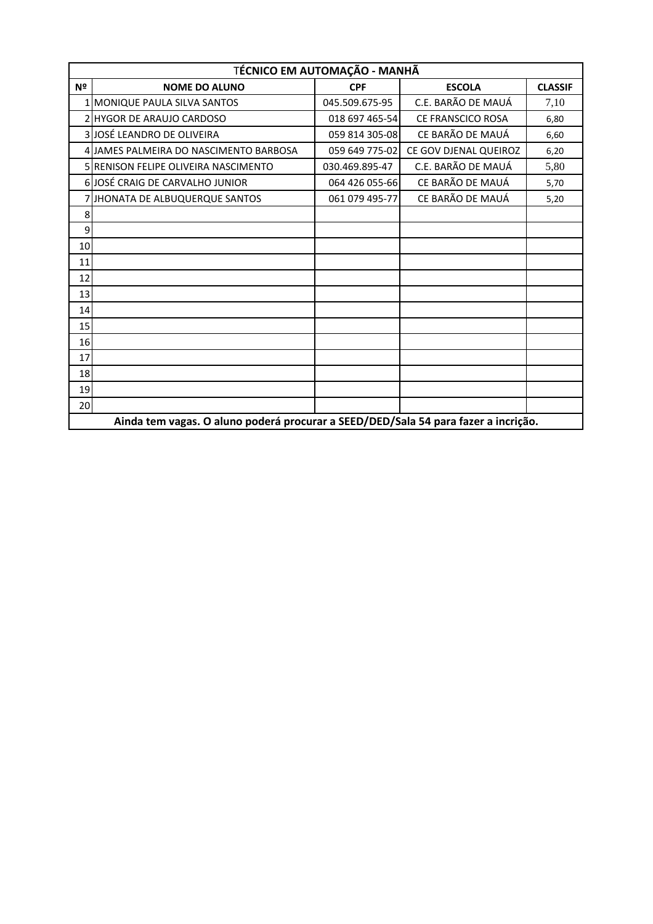|                | TÉCNICO EM AUTOMAÇÃO - MANHÃ                                                       |                |                       |                |  |  |
|----------------|------------------------------------------------------------------------------------|----------------|-----------------------|----------------|--|--|
| Nº             | <b>NOME DO ALUNO</b>                                                               | <b>CPF</b>     | <b>ESCOLA</b>         | <b>CLASSIF</b> |  |  |
| 1 <sup>1</sup> | <b>MONIQUE PAULA SILVA SANTOS</b>                                                  | 045.509.675-95 | C.F. BARÃO DE MAUÁ    | 7,10           |  |  |
|                | 2 HYGOR DE ARAUJO CARDOSO                                                          | 018 697 465-54 | CE FRANSCICO ROSA     | 6,80           |  |  |
|                | 3JJOSÉ LEANDRO DE OLIVEIRA                                                         | 059 814 305-08 | CE BARÃO DE MAUÁ      | 6,60           |  |  |
|                | 4 JAMES PALMEIRA DO NASCIMENTO BARBOSA                                             | 059 649 775-02 | CE GOV DJENAL QUEIROZ | 6,20           |  |  |
|                | <b>5 RENISON FELIPE OLIVEIRA NASCIMENTO</b>                                        | 030.469.895-47 | C.E. BARÃO DE MAUÁ    | 5,80           |  |  |
|                | 6 JOSÉ CRAIG DE CARVALHO JUNIOR                                                    | 064 426 055-66 | CE BARÃO DE MAUÁ      | 5,70           |  |  |
|                | 7 JHONATA DE ALBUQUERQUE SANTOS                                                    | 061 079 495-77 | CE BARÃO DE MAUÁ      | 5,20           |  |  |
| 8              |                                                                                    |                |                       |                |  |  |
| 9              |                                                                                    |                |                       |                |  |  |
| 10             |                                                                                    |                |                       |                |  |  |
| 11             |                                                                                    |                |                       |                |  |  |
| 12             |                                                                                    |                |                       |                |  |  |
| 13             |                                                                                    |                |                       |                |  |  |
| 14             |                                                                                    |                |                       |                |  |  |
| 15             |                                                                                    |                |                       |                |  |  |
| 16             |                                                                                    |                |                       |                |  |  |
| 17             |                                                                                    |                |                       |                |  |  |
| 18             |                                                                                    |                |                       |                |  |  |
| 19             |                                                                                    |                |                       |                |  |  |
| 20             |                                                                                    |                |                       |                |  |  |
|                | Ainda tem vagas. O aluno poderá procurar a SEED/DED/Sala 54 para fazer a incrição. |                |                       |                |  |  |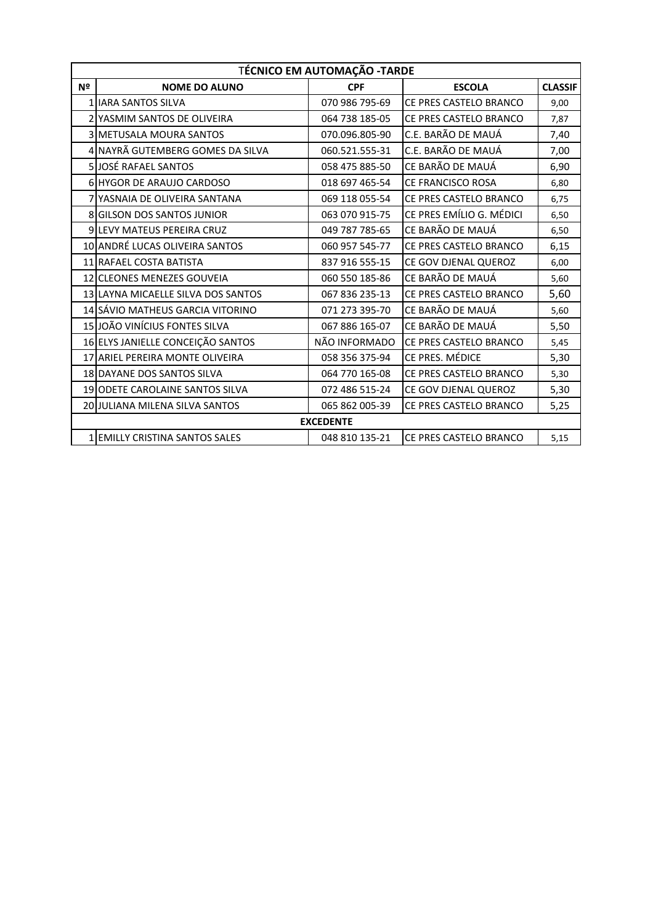|    | <b>TÉCNICO EM AUTOMAÇÃO - TARDE</b>  |                  |                          |                |  |  |
|----|--------------------------------------|------------------|--------------------------|----------------|--|--|
| Nº | <b>NOME DO ALUNO</b>                 | <b>CPF</b>       | <b>ESCOLA</b>            | <b>CLASSIF</b> |  |  |
|    | 1 IJARA SANTOS SILVA                 | 070 986 795-69   | CE PRES CASTELO BRANCO   | 9,00           |  |  |
|    | 2 YASMIM SANTOS DE OLIVEIRA          | 064 738 185-05   | CE PRES CASTELO BRANCO   | 7,87           |  |  |
|    | <b>3 METUSALA MOURA SANTOS</b>       | 070.096.805-90   | C.E. BARÃO DE MAUÁ       | 7,40           |  |  |
|    | 4 NAYRÃ GUTEMBERG GOMES DA SILVA     | 060.521.555-31   | C.E. BARÃO DE MAUÁ       | 7,00           |  |  |
|    | 5 JOSÉ RAFAEL SANTOS                 | 058 475 885-50   | CE BARÃO DE MAUÁ         | 6,90           |  |  |
|    | 6 HYGOR DE ARAUJO CARDOSO            | 018 697 465-54   | <b>CE FRANCISCO ROSA</b> | 6,80           |  |  |
|    | <b>7 YASNAIA DE OLIVEIRA SANTANA</b> | 069 118 055-54   | CE PRES CASTELO BRANCO   | 6,75           |  |  |
|    | 8 GILSON DOS SANTOS JUNIOR           | 063 070 915-75   | CE PRES EMÍLIO G. MÉDICI | 6,50           |  |  |
|    | 9 LEVY MATEUS PEREIRA CRUZ           | 049 787 785-65   | CE BARÃO DE MAUÁ         | 6,50           |  |  |
|    | 10 ANDRÉ LUCAS OLIVEIRA SANTOS       | 060 957 545-77   | CE PRES CASTELO BRANCO   | 6,15           |  |  |
|    | 11 RAFAEL COSTA BATISTA              | 837 916 555-15   | CE GOV DJENAL QUEROZ     | 6,00           |  |  |
|    | 12 CLEONES MENEZES GOUVEIA           | 060 550 185-86   | CE BARÃO DE MAUÁ         | 5,60           |  |  |
|    | 13 LAYNA MICAELLE SILVA DOS SANTOS   | 067 836 235-13   | CE PRES CASTELO BRANCO   | 5,60           |  |  |
|    | 14 SÁVIO MATHEUS GARCIA VITORINO     | 071 273 395-70   | CE BARÃO DE MAUÁ         | 5,60           |  |  |
|    | 15 JOÃO VINÍCIUS FONTES SILVA        | 067 886 165-07   | CE BARÃO DE MAUÁ         | 5,50           |  |  |
|    | 16 ELYS JANIELLE CONCEIÇÃO SANTOS    | NÃO INFORMADO    | CE PRES CASTELO BRANCO   | 5,45           |  |  |
|    | 17 ARIEL PEREIRA MONTE OLIVEIRA      | 058 356 375-94   | CE PRES. MÉDICE          | 5,30           |  |  |
|    | 18 DAYANE DOS SANTOS SILVA           | 064 770 165-08   | CE PRES CASTELO BRANCO   | 5,30           |  |  |
|    | 19 ODETE CAROLAINE SANTOS SILVA      | 072 486 515-24   | CE GOV DJENAL QUEROZ     | 5,30           |  |  |
|    | 20 JULIANA MILENA SILVA SANTOS       | 065 862 005-39   | CE PRES CASTELO BRANCO   | 5,25           |  |  |
|    |                                      | <b>EXCEDENTE</b> |                          |                |  |  |
|    | 1 EMILLY CRISTINA SANTOS SALES       | 048 810 135-21   | CE PRES CASTELO BRANCO   | 5,15           |  |  |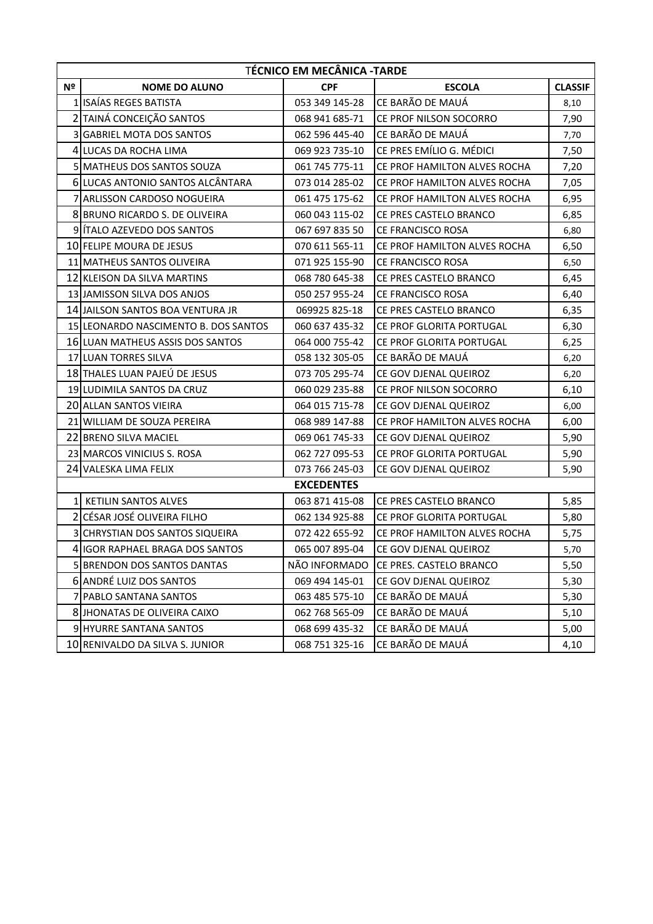|                | <b>TÉCNICO EM MECÂNICA -TARDE</b>    |                   |                              |                |  |
|----------------|--------------------------------------|-------------------|------------------------------|----------------|--|
| Nº             | <b>NOME DO ALUNO</b>                 | <b>CPF</b>        | <b>ESCOLA</b>                | <b>CLASSIF</b> |  |
|                | 1 ISAÍAS REGES BATISTA               | 053 349 145-28    | CE BARÃO DE MAUÁ             | 8,10           |  |
|                | 2 TAINÁ CONCEIÇÃO SANTOS             | 068 941 685-71    | CE PROF NILSON SOCORRO       | 7,90           |  |
| 3              | <b>GABRIEL MOTA DOS SANTOS</b>       | 062 596 445-40    | CE BARÃO DE MAUÁ             | 7,70           |  |
|                | 4 LUCAS DA ROCHA LIMA                | 069 923 735-10    | CE PRES EMÍLIO G. MÉDICI     | 7,50           |  |
|                | 5 MATHEUS DOS SANTOS SOUZA           | 061 745 775-11    | CE PROF HAMILTON ALVES ROCHA | 7,20           |  |
|                | 6 LUCAS ANTONIO SANTOS ALCÂNTARA     | 073 014 285-02    | CE PROF HAMILTON ALVES ROCHA | 7,05           |  |
|                | 7 ARLISSON CARDOSO NOGUEIRA          | 061 475 175-62    | CE PROF HAMILTON ALVES ROCHA | 6,95           |  |
|                | 8 BRUNO RICARDO S. DE OLIVEIRA       | 060 043 115-02    | CE PRES CASTELO BRANCO       | 6,85           |  |
|                | 9 ITALO AZEVEDO DOS SANTOS           | 067 697 835 50    | CE FRANCISCO ROSA            | 6,80           |  |
|                | 10 FELIPE MOURA DE JESUS             | 070 611 565-11    | CE PROF HAMILTON ALVES ROCHA | 6,50           |  |
|                | 11 MATHEUS SANTOS OLIVEIRA           | 071 925 155-90    | CE FRANCISCO ROSA            | 6,50           |  |
|                | 12 KLEISON DA SILVA MARTINS          | 068 780 645-38    | CE PRES CASTELO BRANCO       | 6,45           |  |
|                | 13 JAMISSON SILVA DOS ANJOS          | 050 257 955-24    | <b>CE FRANCISCO ROSA</b>     | 6,40           |  |
|                | 14 JAILSON SANTOS BOA VENTURA JR     | 069925 825-18     | CE PRES CASTELO BRANCO       | 6,35           |  |
|                | 15 LEONARDO NASCIMENTO B. DOS SANTOS | 060 637 435-32    | CE PROF GLORITA PORTUGAL     | 6,30           |  |
|                | 16 LUAN MATHEUS ASSIS DOS SANTOS     | 064 000 755-42    | CE PROF GLORITA PORTUGAL     | 6,25           |  |
|                | 17 LUAN TORRES SILVA                 | 058 132 305-05    | CE BARÃO DE MAUÁ             | 6,20           |  |
|                | 18 THALES LUAN PAJEÚ DE JESUS        | 073 705 295-74    | CE GOV DJENAL QUEIROZ        | 6,20           |  |
|                | 19 LUDIMILA SANTOS DA CRUZ           | 060 029 235-88    | CE PROF NILSON SOCORRO       | 6,10           |  |
|                | 20 ALLAN SANTOS VIEIRA               | 064 015 715-78    | CE GOV DJENAL QUEIROZ        | 6,00           |  |
|                | 21 WILLIAM DE SOUZA PEREIRA          | 068 989 147-88    | CE PROF HAMILTON ALVES ROCHA | 6,00           |  |
|                | 22 BRENO SILVA MACIEL                | 069 061 745-33    | CE GOV DJENAL QUEIROZ        | 5,90           |  |
|                | 23 MARCOS VINICIUS S. ROSA           | 062 727 095-53    | CE PROF GLORITA PORTUGAL     | 5,90           |  |
|                | 24 VALESKA LIMA FELIX                | 073 766 245-03    | CE GOV DJENAL QUEIROZ        | 5,90           |  |
|                |                                      | <b>EXCEDENTES</b> |                              |                |  |
| $\mathbf{1}$   | KETILIN SANTOS ALVES                 | 063 871 415-08    | CE PRES CASTELO BRANCO       | 5,85           |  |
| $\overline{2}$ | CÉSAR JOSÉ OLIVEIRA FILHO            | 062 134 925-88    | CE PROF GLORITA PORTUGAL     | 5,80           |  |
|                | 3 CHRYSTIAN DOS SANTOS SIQUEIRA      | 072 422 655-92    | CE PROF HAMILTON ALVES ROCHA | 5,75           |  |
|                | 4 IGOR RAPHAEL BRAGA DOS SANTOS      | 065 007 895-04    | CE GOV DJENAL QUEIROZ        | 5,70           |  |
|                | 5 BRENDON DOS SANTOS DANTAS          | NÃO INFORMADO     | CE PRES. CASTELO BRANCO      | 5,50           |  |
|                | 6 ANDRÉ LUIZ DOS SANTOS              | 069 494 145-01    | CE GOV DJENAL QUEIROZ        | 5,30           |  |
|                | 7 PABLO SANTANA SANTOS               | 063 485 575-10    | CE BARÃO DE MAUÁ             | 5,30           |  |
|                | 8 JHONATAS DE OLIVEIRA CAIXO         | 062 768 565-09    | CE BARÃO DE MAUÁ             | 5,10           |  |
|                | 9 HYURRE SANTANA SANTOS              | 068 699 435-32    | CE BARÃO DE MAUÁ             | 5,00           |  |
|                | 10 RENIVALDO DA SILVA S. JUNIOR      | 068 751 325-16    | CE BARÃO DE MAUÁ             | 4,10           |  |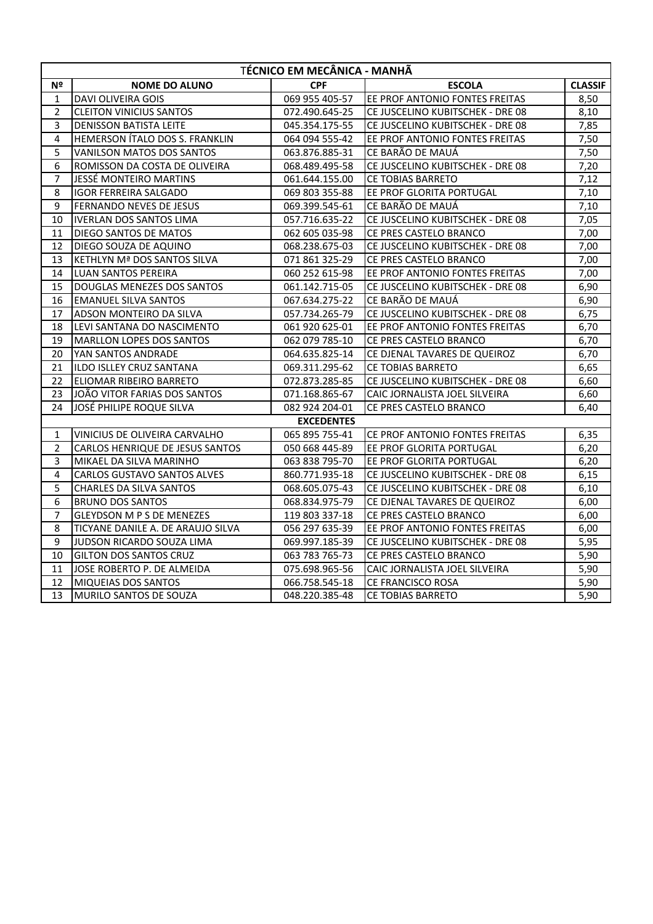|                  | TÉCNICO EM MECÂNICA - MANHÃ        |                   |                                  |                |  |
|------------------|------------------------------------|-------------------|----------------------------------|----------------|--|
| Nº               | <b>NOME DO ALUNO</b>               | <b>CPF</b>        | <b>ESCOLA</b>                    | <b>CLASSIF</b> |  |
| $\mathbf{1}$     | <b>DAVI OLIVEIRA GOIS</b>          | 069 955 405-57    | EE PROF ANTONIO FONTES FREITAS   | 8,50           |  |
| $\overline{2}$   | <b>CLEITON VINICIUS SANTOS</b>     | 072.490.645-25    | CE JUSCELINO KUBITSCHEK - DRE 08 | 8,10           |  |
| 3                | <b>DENISSON BATISTA LEITE</b>      | 045.354.175-55    | CE JUSCELINO KUBITSCHEK - DRE 08 | 7,85           |  |
| 4                | HEMERSON ÍTALO DOS S. FRANKLIN     | 064 094 555-42    | EE PROF ANTONIO FONTES FREITAS   | 7,50           |  |
| 5                | VANILSON MATOS DOS SANTOS          | 063.876.885-31    | CE BARÃO DE MAUÁ                 | 7,50           |  |
| 6                | ROMISSON DA COSTA DE OLIVEIRA      | 068.489.495-58    | CE JUSCELINO KUBITSCHEK - DRE 08 | 7,20           |  |
| $\overline{7}$   | JESSÉ MONTEIRO MARTINS             | 061.644.155.00    | CE TOBIAS BARRETO                | 7,12           |  |
| 8                | <b>IGOR FERREIRA SALGADO</b>       | 069 803 355-88    | EE PROF GLORITA PORTUGAL         | 7,10           |  |
| 9                | FERNANDO NEVES DE JESUS            | 069.399.545-61    | CE BARÃO DE MAUÁ                 | 7,10           |  |
| 10               | <b>IVERLAN DOS SANTOS LIMA</b>     | 057.716.635-22    | CE JUSCELINO KUBITSCHEK - DRE 08 | 7,05           |  |
| 11               | DIEGO SANTOS DE MATOS              | 062 605 035-98    | CE PRES CASTELO BRANCO           | 7,00           |  |
| 12               | DIEGO SOUZA DE AQUINO              | 068.238.675-03    | CE JUSCELINO KUBITSCHEK - DRE 08 | 7,00           |  |
| 13               | KETHLYN Mª DOS SANTOS SILVA        | 071 861 325-29    | CE PRES CASTELO BRANCO           | 7,00           |  |
| 14               | <b>LUAN SANTOS PEREIRA</b>         | 060 252 615-98    | EE PROF ANTONIO FONTES FREITAS   | 7,00           |  |
| 15               | DOUGLAS MENEZES DOS SANTOS         | 061.142.715-05    | CE JUSCELINO KUBITSCHEK - DRE 08 | 6,90           |  |
| 16               | <b>EMANUEL SILVA SANTOS</b>        | 067.634.275-22    | CE BARÃO DE MAUÁ                 | 6,90           |  |
| 17               | ADSON MONTEIRO DA SILVA            | 057.734.265-79    | CE JUSCELINO KUBITSCHEK - DRE 08 | 6,75           |  |
| 18               | LEVI SANTANA DO NASCIMENTO         | 061 920 625-01    | EE PROF ANTONIO FONTES FREITAS   | 6,70           |  |
| 19               | MARLLON LOPES DOS SANTOS           | 062 079 785-10    | CE PRES CASTELO BRANCO           | 6,70           |  |
| 20               | YAN SANTOS ANDRADE                 | 064.635.825-14    | CE DJENAL TAVARES DE QUEIROZ     | 6,70           |  |
| 21               | ILDO ISLLEY CRUZ SANTANA           | 069.311.295-62    | CE TOBIAS BARRETO                | 6,65           |  |
| 22               | ELIOMAR RIBEIRO BARRETO            | 072.873.285-85    | CE JUSCELINO KUBITSCHEK - DRE 08 | 6,60           |  |
| 23               | JOÃO VITOR FARIAS DOS SANTOS       | 071.168.865-67    | CAIC JORNALISTA JOEL SILVEIRA    | 6,60           |  |
| 24               | JOSÉ PHILIPE ROQUE SILVA           | 082 924 204-01    | CE PRES CASTELO BRANCO           | 6,40           |  |
|                  |                                    | <b>EXCEDENTES</b> |                                  |                |  |
| $\mathbf{1}$     | VINICIUS DE OLIVEIRA CARVALHO      | 065 895 755-41    | CE PROF ANTONIO FONTES FREITAS   | 6,35           |  |
| $\overline{2}$   | CARLOS HENRIQUE DE JESUS SANTOS    | 050 668 445-89    | EE PROF GLORITA PORTUGAL         | 6,20           |  |
| 3                | MIKAEL DA SILVA MARINHO            | 063 838 795-70    | EE PROF GLORITA PORTUGAL         | 6,20           |  |
| $\overline{4}$   | <b>CARLOS GUSTAVO SANTOS ALVES</b> | 860.771.935-18    | CE JUSCELINO KUBITSCHEK - DRE 08 | 6,15           |  |
| 5                | <b>CHARLES DA SILVA SANTOS</b>     | 068.605.075-43    | CE JUSCELINO KUBITSCHEK - DRE 08 | 6,10           |  |
| $\boldsymbol{6}$ | <b>BRUNO DOS SANTOS</b>            | 068.834.975-79    | CE DJENAL TAVARES DE QUEIROZ     | 6,00           |  |
| $\overline{7}$   | <b>GLEYDSON M P S DE MENEZES</b>   | 119 803 337-18    | CE PRES CASTELO BRANCO           | 6,00           |  |
| 8                | TICYANE DANILE A. DE ARAUJO SILVA  | 056 297 635-39    | EE PROF ANTONIO FONTES FREITAS   | 6,00           |  |
| 9                | JUDSON RICARDO SOUZA LIMA          | 069.997.185-39    | CE JUSCELINO KUBITSCHEK - DRE 08 | 5,95           |  |
| 10               | <b>GILTON DOS SANTOS CRUZ</b>      | 063 783 765-73    | CE PRES CASTELO BRANCO           | 5,90           |  |
| 11               | JOSE ROBERTO P. DE ALMEIDA         | 075.698.965-56    | CAIC JORNALISTA JOEL SILVEIRA    | 5,90           |  |
| 12               | <b>MIQUEIAS DOS SANTOS</b>         | 066.758.545-18    | CE FRANCISCO ROSA                | 5,90           |  |
| 13               | MURILO SANTOS DE SOUZA             | 048.220.385-48    | <b>CE TOBIAS BARRETO</b>         | 5,90           |  |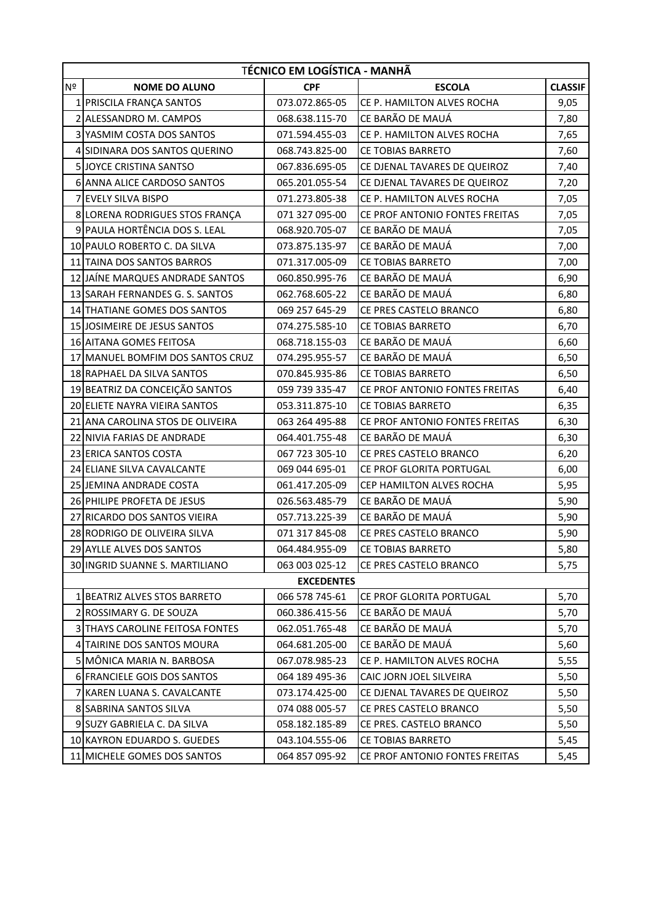|                | TÉCNICO EM LOGÍSTICA - MANHÃ       |                   |                                |                |  |
|----------------|------------------------------------|-------------------|--------------------------------|----------------|--|
| Nº             | <b>NOME DO ALUNO</b>               | <b>CPF</b>        | <b>ESCOLA</b>                  | <b>CLASSIF</b> |  |
|                | 1 PRISCILA FRANÇA SANTOS           | 073.072.865-05    | CE P. HAMILTON ALVES ROCHA     | 9,05           |  |
|                | 2 ALESSANDRO M. CAMPOS             | 068.638.115-70    | CE BARÃO DE MAUÁ               | 7,80           |  |
| $\overline{3}$ | YASMIM COSTA DOS SANTOS            | 071.594.455-03    | CE P. HAMILTON ALVES ROCHA     | 7,65           |  |
|                | 4 SIDINARA DOS SANTOS QUERINO      | 068.743.825-00    | <b>CE TOBIAS BARRETO</b>       | 7,60           |  |
|                | 5 JOYCE CRISTINA SANTSO            | 067.836.695-05    | CE DJENAL TAVARES DE QUEIROZ   | 7,40           |  |
|                | 6 ANNA ALICE CARDOSO SANTOS        | 065.201.055-54    | CE DJENAL TAVARES DE QUEIROZ   | 7,20           |  |
|                | 7 EVELY SILVA BISPO                | 071.273.805-38    | CE P. HAMILTON ALVES ROCHA     | 7,05           |  |
|                | 8 LORENA RODRIGUES STOS FRANÇA     | 071 327 095-00    | CE PROF ANTONIO FONTES FREITAS | 7,05           |  |
|                | 9 PAULA HORTÊNCIA DOS S. LEAL      | 068.920.705-07    | CE BARÃO DE MAUÁ               | 7,05           |  |
|                | 10 PAULO ROBERTO C. DA SILVA       | 073.875.135-97    | CE BARÃO DE MAUÁ               | 7,00           |  |
|                | 11 TAINA DOS SANTOS BARROS         | 071.317.005-09    | <b>CE TOBIAS BARRETO</b>       | 7,00           |  |
|                | 12 JAÍNE MARQUES ANDRADE SANTOS    | 060.850.995-76    | CE BARÃO DE MAUÁ               | 6,90           |  |
|                | 13 SARAH FERNANDES G. S. SANTOS    | 062.768.605-22    | CE BARÃO DE MAUÁ               | 6,80           |  |
|                | 14 THATIANE GOMES DOS SANTOS       | 069 257 645-29    | CE PRES CASTELO BRANCO         | 6,80           |  |
|                | 15 JOSIMEIRE DE JESUS SANTOS       | 074.275.585-10    | CE TOBIAS BARRETO              | 6,70           |  |
|                | 16 AITANA GOMES FEITOSA            | 068.718.155-03    | CE BARÃO DE MAUÁ               | 6,60           |  |
|                | 17 MANUEL BOMFIM DOS SANTOS CRUZ   | 074.295.955-57    | CE BARÃO DE MAUÁ               | 6,50           |  |
|                | 18 RAPHAEL DA SILVA SANTOS         | 070.845.935-86    | <b>CE TOBIAS BARRETO</b>       | 6,50           |  |
|                | 19 BEATRIZ DA CONCEIÇÃO SANTOS     | 059 739 335-47    | CE PROF ANTONIO FONTES FREITAS | 6,40           |  |
|                | 20 ELIETE NAYRA VIEIRA SANTOS      | 053.311.875-10    | <b>CE TOBIAS BARRETO</b>       | 6,35           |  |
|                | 21 ANA CAROLINA STOS DE OLIVEIRA   | 063 264 495-88    | CE PROF ANTONIO FONTES FREITAS | 6,30           |  |
| 22 I           | NIVIA FARIAS DE ANDRADE            | 064.401.755-48    | CE BARÃO DE MAUÁ               | 6,30           |  |
|                | 23 ERICA SANTOS COSTA              | 067 723 305-10    | CE PRES CASTELO BRANCO         | 6,20           |  |
|                | 24 ELIANE SILVA CAVALCANTE         | 069 044 695-01    | CE PROF GLORITA PORTUGAL       | 6,00           |  |
|                | 25 JEMINA ANDRADE COSTA            | 061.417.205-09    | CEP HAMILTON ALVES ROCHA       | 5,95           |  |
|                | 26 PHILIPE PROFETA DE JESUS        | 026.563.485-79    | CE BARÃO DE MAUÁ               | 5,90           |  |
|                | 27 RICARDO DOS SANTOS VIEIRA       | 057.713.225-39    | CE BARÃO DE MAUÁ               | 5,90           |  |
|                | 28 RODRIGO DE OLIVEIRA SILVA       | 071 317 845-08    | CE PRES CASTELO BRANCO         | 5,90           |  |
|                | 29 AYLLE ALVES DOS SANTOS          | 064.484.955-09    | <b>CE TOBIAS BARRETO</b>       | 5,80           |  |
|                | 30 INGRID SUANNE S. MARTILIANO     | 063 003 025-12    | CE PRES CASTELO BRANCO         | 5,75           |  |
|                |                                    | <b>EXCEDENTES</b> |                                |                |  |
|                | 1 BEATRIZ ALVES STOS BARRETO       | 066 578 745-61    | CE PROF GLORITA PORTUGAL       | 5,70           |  |
|                | 2 ROSSIMARY G. DE SOUZA            | 060.386.415-56    | CE BARÃO DE MAUÁ               | 5,70           |  |
| 3 <sup>l</sup> | THAYS CAROLINE FEITOSA FONTES      | 062.051.765-48    | CE BARÃO DE MAUÁ               | 5,70           |  |
|                | 4 TAIRINE DOS SANTOS MOURA         | 064.681.205-00    | CE BARÃO DE MAUÁ               | 5,60           |  |
|                | 5 MÔNICA MARIA N. BARBOSA          | 067.078.985-23    | CE P. HAMILTON ALVES ROCHA     | 5,55           |  |
|                | 6 FRANCIELE GOIS DOS SANTOS        | 064 189 495-36    | CAIC JORN JOEL SILVEIRA        | 5,50           |  |
|                | <b>7 KAREN LUANA S. CAVALCANTE</b> | 073.174.425-00    | CE DJENAL TAVARES DE QUEIROZ   | 5,50           |  |
|                | 8 SABRINA SANTOS SILVA             | 074 088 005-57    | CE PRES CASTELO BRANCO         | 5,50           |  |
|                | 9 SUZY GABRIELA C. DA SILVA        | 058.182.185-89    | CE PRES. CASTELO BRANCO        | 5,50           |  |
|                | 10 KAYRON EDUARDO S. GUEDES        | 043.104.555-06    | <b>CE TOBIAS BARRETO</b>       | 5,45           |  |
|                | 11 MICHELE GOMES DOS SANTOS        | 064 857 095-92    | CE PROF ANTONIO FONTES FREITAS | 5,45           |  |